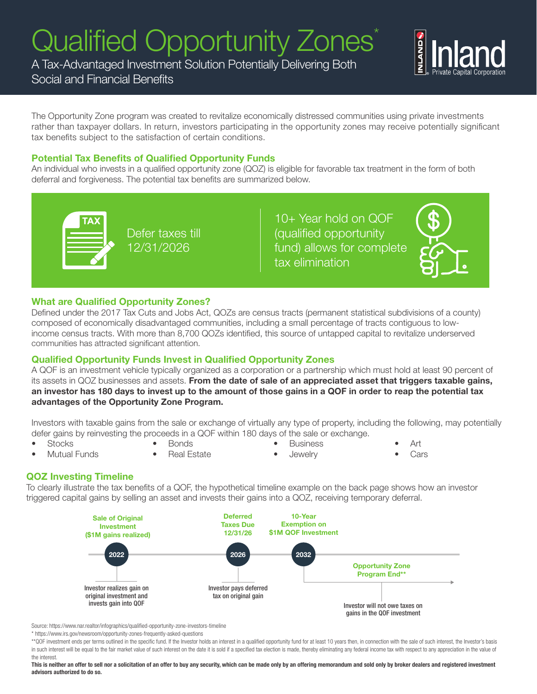# Qualified Opportunity Zones<sup>\*</sup>

A Tax-Advantaged Investment Solution Potentially Delivering Both

# Social and Financial Benefits

The Opportunity Zone program was created to revitalize economically distressed communities using private investments rather than taxpayer dollars. In return, investors participating in the opportunity zones may receive potentially significant tax benefits subject to the satisfaction of certain conditions.

#### Potential Tax Benefits of Qualified Opportunity Funds

An individual who invests in a qualified opportunity zone (QOZ) is eligible for favorable tax treatment in the form of both deferral and forgiveness. The potential tax benefits are summarized below.



Defer taxes till 12/31/2026

10+ Year hold on QOF (qualified opportunity fund) allows for complete tax elimination

#### What are Qualified Opportunity Zones?

Defined under the 2017 Tax Cuts and Jobs Act, QOZs are census tracts (permanent statistical subdivisions of a county) composed of economically disadvantaged communities, including a small percentage of tracts contiguous to lowincome census tracts. With more than 8,700 QOZs identified, this source of untapped capital to revitalize underserved communities has attracted significant attention.

## Qualified Opportunity Funds Invest in Qualified Opportunity Zones

A QOF is an investment vehicle typically organized as a corporation or a partnership which must hold at least 90 percent of its assets in QOZ businesses and assets. From the date of sale of an appreciated asset that triggers taxable gains, an investor has 180 days to invest up to the amount of those gains in a QOF in order to reap the potential tax advantages of the Opportunity Zone Program.

Investors with taxable gains from the sale or exchange of virtually any type of property, including the following, may potentially defer gains by reinvesting the proceeds in a QOF within 180 days of the sale or exchange.

- **Stocks**
- Bonds
- 
- Business

• Art

- Mutual Funds
- Real Estate
- Jewelry

Cars

## QOZ Investing Timeline

To clearly illustrate the tax benefits of a QOF, the hypothetical timeline example on the back page shows how an investor triggered capital gains by selling an asset and invests their gains into a QOZ, receiving temporary deferral.



Source: https://www.nar.realtor/infographics/qualified-opportunity-zone-investors-timeline

\* https://www.irs.gov/newsroom/opportunity-zones-frequently-asked-questions

\*\*QOF investment ends per terms outlined in the specific fund. If the Investor holds an interest in a qualified opportunity fund for at least 10 years then, in connection with the sale of such interest, the Investor's basis in such interest will be equal to the fair market value of such interest on the date it is sold if a specified tax election is made, thereby eliminating any federal income tax with respect to any appreciation in the value the interest.

This is neither an offer to sell nor a solicitation of an offer to buy any security, which can be made only by an offering memorandum and sold only by broker dealers and registered investment advisors authorized to do so.